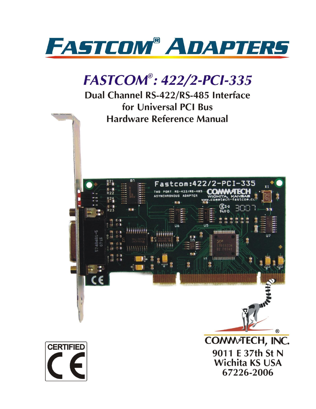

## **FASTCOM<sup>®</sup>: 422/2-PCI-335**

## Dual Channel RS-422/RS-485 Interface for Universal PCI Bus **Hardware Reference Manual**

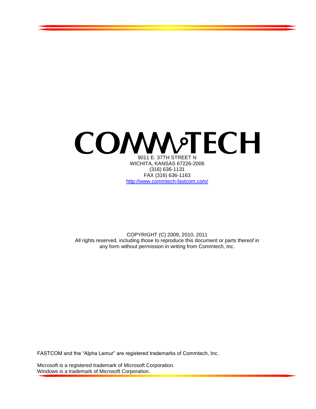

COPYRIGHT (C) 2009, 2010, 2011 All rights reserved, including those to reproduce this document or parts thereof in any form without permission in writing from Commtech, Inc.

FASTCOM and the "Alpha Lemur" are registered trademarks of Commtech, Inc.

Microsoft is a registered trademark of Microsoft Corporation. Windows is a trademark of Microsoft Corporation.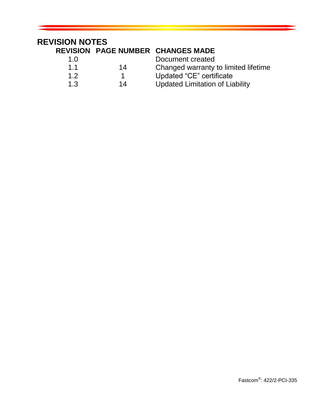## **REVISION NOTES**

## **REVISION PAGE NUMBER CHANGES MADE** 1.0 Document created 1.1 14 Changed warranty to limited lifetime<br>1.2 1 Updated "CE" certificate 1 Updated "CE" certificate 1.3 14 Updated Limitation of Liability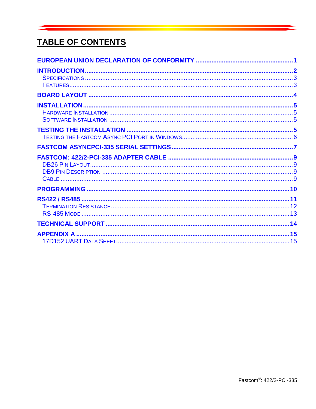## TABLE OF CONTENTS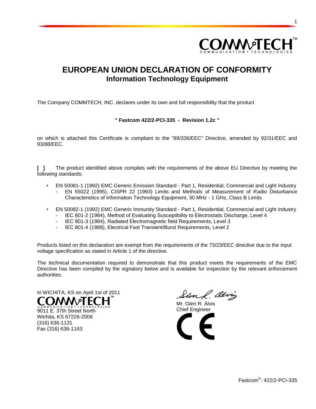

1

## <span id="page-4-0"></span>**EUROPEAN UNION DECLARATION OF CONFORMITY Information Technology Equipment**

The Company COMMTECH, INC. declares under its own and full responsibility that the product

#### **" Fastcom 422/2-PCI-335 - Revision 1.2c "**

on which is attached this Certificate is compliant to the "89/336/EEC" Directive, amended by 92/31/EEC and 93/88/EEC.

**[ ]** The product identified above complies with the requirements of the above EU Directive by meeting the following standards:

- EN 50081-1 (1992) EMC Generic Emission Standard Part 1, Residential, Commercial and Light Industry
	- EN 55022 (1995), CISPR 22 (1993) Limits and Methods of Measurement of Radio Disturbance Characteristics of Information Technology Equipment, 30 MHz - 1 GHz, Class B Limits
- EN 50082-1 (1992) EMC Generic Immunity Standard Part 1, Residential, Commercial and Light Industry
	- IEC 801-2 (1984), Method of Evaluating Susceptibility to Electrostatic Discharge, Level 4
	- IEC 801-3 (1984), Radiated Electromagnetic field Requirements, Level 3
	- IEC 801-4 (1988), Electrical Fast Transient/Burst Requirements, Level 2

Products listed on this declaration are exempt from the requirements of the 73/23/EEC directive due to the input voltage specification as stated in Article 1 of the directive.

The technical documentation required to demonstrate that this product meets the requirements of the EMC Directive has been compiled by the signatory below and is available for inspection by the relevant enforcement authorities.

In WICHITA, KS on April 1st of 2011

**DAMM** of FCH

9011 E. 37th Street North Wichita, KS 67226-2006 (316) 636-1131 Fax (316) 636-1163

San R. alvig

Mr. Glen R. Alvis Chief Engineer

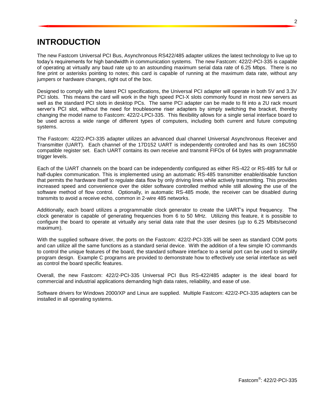## <span id="page-5-0"></span>**INTRODUCTION**

The new Fastcom Universal PCI Bus, Asynchronous RS422/485 adapter utilizes the latest technology to live up to today's requirements for high bandwidth in communication systems. The new Fastcom: 422/2-PCI-335 is capable of operating at virtually any baud rate up to an astounding maximum serial data rate of 6.25 Mbps. There is no fine print or asterisks pointing to notes; this card is capable of running at the maximum data rate, without any jumpers or hardware changes, right out of the box.

Designed to comply with the latest PCI specifications, the Universal PCI adapter will operate in both 5V and 3.3V PCI slots. This means the card will work in the high speed PCI-X slots commonly found in most new servers as well as the standard PCI slots in desktop PCs. The same PCI adapter can be made to fit into a 2U rack mount server's PCI slot, without the need for troublesome riser adapters by simply switching the bracket, thereby changing the model name to Fastcom: 422/2-LPCI-335. This flexibility allows for a single serial interface board to be used across a wide range of different types of computers, including both current and future computing systems.

The Fastcom: 422/2-PCI-335 adapter utilizes an advanced dual channel Universal Asynchronous Receiver and Transmitter (UART). Each channel of the 17D152 UART is independently controlled and has its own 16C550 compatible register set. Each UART contains its own receive and transmit FIFOs of 64 bytes with programmable trigger levels.

Each of the UART channels on the board can be independently configured as either RS-422 or RS-485 for full or half-duplex communication. This is implemented using an automatic RS-485 transmitter enable/disable function that permits the hardware itself to regulate data flow by only driving lines while actively transmitting. This provides increased speed and convenience over the older software controlled method while still allowing the use of the software method of flow control. Optionally, in automatic RS-485 mode, the receiver can be disabled during transmits to avoid a receive echo, common in 2-wire 485 networks.

Additionally, each board utilizes a programmable clock generator to create the UART's input frequency. The clock generator is capable of generating frequencies from 6 to 50 MHz. Utilizing this feature, it is possible to configure the board to operate at virtually any serial data rate that the user desires (up to 6.25 Mbits/second maximum).

With the supplied software driver, the ports on the Fastcom: 422/2-PCI-335 will be seen as standard COM ports and can utilize all the same functions as a standard serial device. With the addition of a few simple IO commands to control the unique features of the board, the standard software interface to a serial port can be used to simplify program design. Example C programs are provided to demonstrate how to effectively use serial interface as well as control the board specific features.

Overall, the new Fastcom: 422/2-PCI-335 Universal PCI Bus RS-422/485 adapter is the ideal board for commercial and industrial applications demanding high data rates, reliability, and ease of use.

Software drivers for Windows 2000/XP and Linux are supplied. Multiple Fastcom: 422/2-PCI-335 adapters can be installed in all operating systems.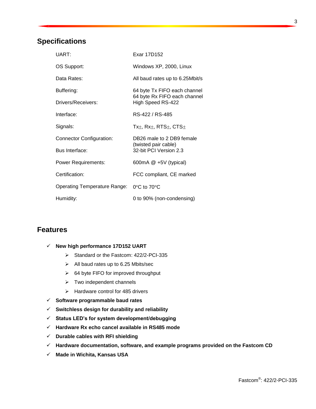## <span id="page-6-0"></span>**Specifications**

| UART:                                    | Exar 17D152                                                                       |
|------------------------------------------|-----------------------------------------------------------------------------------|
| OS Support:                              | Windows XP, 2000, Linux                                                           |
| Data Rates:                              | All baud rates up to 6.25Mbit/s                                                   |
| Buffering:                               | 64 byte Tx FIFO each channel<br>64 byte Rx FIFO each channel<br>High Speed RS-422 |
| Drivers/Receivers:                       |                                                                                   |
| Interface:                               | RS-422 / RS-485                                                                   |
| Signals:                                 | Tx $\pm$ , Rx $\pm$ , RTS $\pm$ , CTS $\pm$                                       |
| <b>Connector Configuration:</b>          | DB26 male to 2 DB9 female<br>(twisted pair cable)<br>32-bit PCI Version 2.3       |
| Bus Interface:                           |                                                                                   |
| <b>Power Requirements:</b>               | 600mA $@ + 5V$ (typical)                                                          |
| Certification:                           | FCC compliant, CE marked                                                          |
| Operating Temperature Range: 0°C to 70°C |                                                                                   |
| Humidity:                                | 0 to 90% (non-condensing)                                                         |

#### <span id="page-6-1"></span>**Features**

- **New high performance 17D152 UART**
	- Standard or the Fastcom: 422/2-PCI-335
	- $\triangleright$  All baud rates up to 6.25 Mbits/sec
	- $\geq$  64 byte FIFO for improved throughput
	- $\triangleright$  Two independent channels
	- $\triangleright$  Hardware control for 485 drivers
- **Software programmable baud rates**
- **Switchless design for durability and reliability**
- **Status LED's for system development/debugging**
- **Hardware Rx echo cancel available in RS485 mode**
- **Durable cables with RFI shielding**
- **Hardware documentation, software, and example programs provided on the Fastcom CD**
- **Made in Wichita, Kansas USA**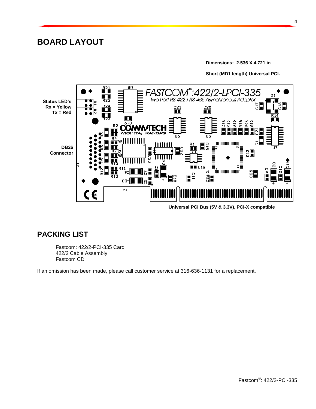## <span id="page-7-0"></span>**BOARD LAYOUT**

**Dimensions: 2.536 X 4.721 in**

**Short (MD1 length) Universal PCI.**



**Universal PCI Bus (5V & 3.3V), PCI-X compatible**

## **PACKING LIST**

Fastcom: 422/2-PCI-335 Card 422/2 Cable Assembly Fastcom CD

If an omission has been made, please call customer service at 316-636-1131 for a replacement.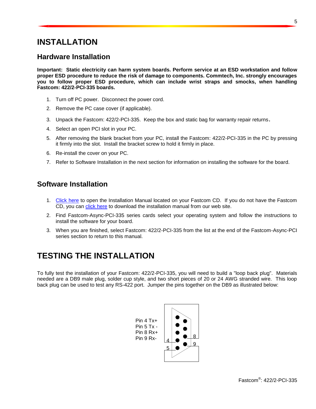## <span id="page-8-0"></span>**INSTALLATION**

#### <span id="page-8-1"></span>**Hardware Installation**

**Important: Static electricity can harm system boards. Perform service at an ESD workstation and follow proper ESD procedure to reduce the risk of damage to components. Commtech, Inc. strongly encourages you to follow proper ESD procedure, which can include wrist straps and smocks, when handling Fastcom: 422/2-PCI-335 boards.**

- 1. Turn off PC power. Disconnect the power cord.
- 2. Remove the PC case cover (if applicable).
- 3. Unpack the Fastcom: 422/2-PCI-335. Keep the box and static bag for warranty repair returns.
- 4. Select an open PCI slot in your PC.
- 5. After removing the blank bracket from your PC, install the Fastcom: 422/2-PCI-335 in the PC by pressing it firmly into the slot. Install the bracket screw to hold it firmly in place.
- 6. Re-install the cover on your PC.
- 7. Refer to Software Installation in the next section for information on installing the software for the board.

#### <span id="page-8-2"></span>**Software Installation**

- 1. [Click here](file://Accntgc/Adobe/Acrobat/2002%20Manuals/FcInstallMan.pdf) to open the Installation Manual located on your Fastcom CD. If you do not have the Fastcom CD, you can [click here](http://www.commtech-fastcom.com/Manuals/FcInstallMan.pdf) to download the installation manual from our web site.
- 2. Find Fastcom-Async-PCI-335 series cards select your operating system and follow the instructions to install the software for your board.
- 3. When you are finished, select Fastcom: 422/2-PCI-335 from the list at the end of the Fastcom-Async-PCI series section to return to this manual.

## <span id="page-8-3"></span>**TESTING THE INSTALLATION**

To fully test the installation of your Fastcom: 422/2-PCI-335, you will need to build a "loop back plug". Materials needed are a DB9 male plug, solder cup style, and two short pieces of 20 or 24 AWG stranded wire. This loop back plug can be used to test any RS-422 port. Jumper the pins together on the DB9 as illustrated below:

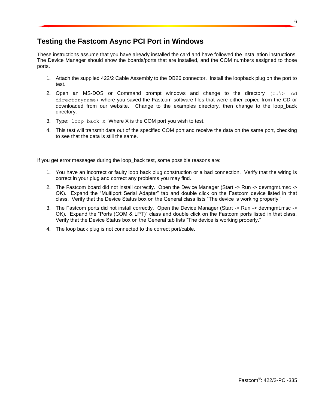## <span id="page-9-0"></span>**Testing the Fastcom Async PCI Port in Windows**

These instructions assume that you have already installed the card and have followed the installation instructions. The Device Manager should show the boards/ports that are installed, and the COM numbers assigned to those ports.

- 1. Attach the supplied 422/2 Cable Assembly to the DB26 connector. Install the loopback plug on the port to test.
- 2. Open an MS-DOS or Command prompt windows and change to the directory  $(C:\rangle > c$ d directoryname) where you saved the Fastcom software files that were either copied from the CD or downloaded from our website. Change to the examples directory, then change to the loop\_back directory.
- 3. Type:  $loop$  back X Where X is the COM port you wish to test.
- 4. This test will transmit data out of the specified COM port and receive the data on the same port, checking to see that the data is still the same.

If you get error messages during the loop\_back test, some possible reasons are:

- 1. You have an incorrect or faulty loop back plug construction or a bad connection. Verify that the wiring is correct in your plug and correct any problems you may find.
- 2. The Fastcom board did not install correctly. Open the Device Manager (Start -> Run -> devmgmt.msc -> OK). Expand the "Multiport Serial Adapter" tab and double click on the Fastcom device listed in that class. Verify that the Device Status box on the General class lists "The device is working properly."
- 3. The Fastcom ports did not install correctly. Open the Device Manager (Start -> Run -> devmgmt.msc -> OK). Expand the "Ports (COM & LPT)" class and double click on the Fastcom ports listed in that class. Verify that the Device Status box on the General tab lists "The device is working properly."
- 4. The loop back plug is not connected to the correct port/cable.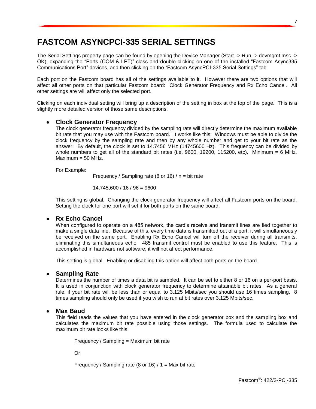## <span id="page-10-0"></span>**FASTCOM ASYNCPCI-335 SERIAL SETTINGS**

The Serial Settings property page can be found by opening the Device Manager (Start -> Run -> devmgmt.msc -> OK), expanding the "Ports (COM & LPT)" class and double clicking on one of the installed "Fastcom Async335 Communications Port" devices, and then clicking on the "Fastcom AsyncPCI-335 Serial Settings" tab.

Each port on the Fastcom board has all of the settings available to it. However there are two options that will affect all other ports on that particular Fastcom board: Clock Generator Frequency and Rx Echo Cancel. All other settings are will affect only the selected port.

Clicking on each individual setting will bring up a description of the setting in box at the top of the page. This is a slightly more detailed version of those same descriptions.

#### **Clock Generator Frequency**

The clock generator frequency divided by the sampling rate will directly determine the maximum available bit rate that you may use with the Fastcom board. It works like this: Windows must be able to divide the clock frequency by the sampling rate and then by any whole number and get to your bit rate as the answer. By default, the clock is set to 14.7456 MHz (14745600 Hz). This frequency can be divided by whole numbers to get all of the standard bit rates (i.e. 9600, 19200, 115200, etc). Minimum = 6 MHz,  $Maximum = 50 MHz$ .

For Example:

Frequency / Sampling rate (8 or 16) /  $n = bit$  rate

14,745,600 / 16 / 96 = 9600

This setting is global. Changing the clock generator frequency will affect all Fastcom ports on the board. Setting the clock for one port will set it for both ports on the same board.

#### **Rx Echo Cancel**

When configured to operate on a 485 network, the card's receive and transmit lines are tied together to make a single data line. Because of this, every time data is transmitted out of a port, it will simultaneously be received on the same port. Enabling Rx Echo Cancel will turn off the receiver during all transmits, eliminating this simultaneous echo. 485 transmit control must be enabled to use this feature. This is accomplished in hardware not software; it will not affect performance.

This setting is global. Enabling or disabling this option will affect both ports on the board.

#### **Sampling Rate**

Determines the number of times a data bit is sampled. It can be set to either 8 or 16 on a per-port basis. It is used in conjunction with clock generator frequency to determine attainable bit rates. As a general rule, if your bit rate will be less than or equal to 3.125 Mbits/sec you should use 16 times sampling. 8 times sampling should only be used if you wish to run at bit rates over 3.125 Mbits/sec.

#### **Max Baud**

This field reads the values that you have entered in the clock generator box and the sampling box and calculates the maximum bit rate possible using those settings. The formula used to calculate the maximum bit rate looks like this:

Frequency / Sampling = Maximum bit rate

Or

Frequency / Sampling rate (8 or 16) /  $1 =$  Max bit rate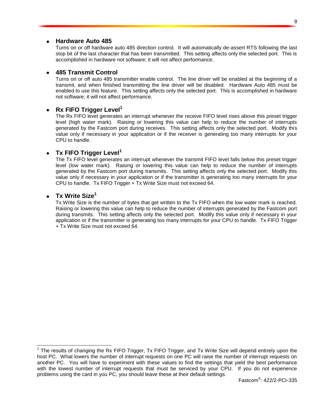#### **Hardware Auto 485**

Turns on or off hardware auto 485 direction control. It will automatically de-assert RTS following the last stop bit of the last character that has been transmitted. This setting affects only the selected port. This is accomplished in hardware not software; it will not affect performance.

#### **485 Transmit Control**

Turns on or off auto 485 transmitter enable control. The line driver will be enabled at the beginning of a transmit, and when finished transmitting the line driver will be disabled. Hardware Auto 485 must be enabled to use this feature. This setting affects only the selected port. This is accomplished in hardware not software; it will not affect performance.

#### **Rx FIFO Trigger Level<sup>1</sup>**

The Rx FIFO level generates an interrupt whenever the receive FIFO level rises above this preset trigger level (high water mark). Raising or lowering this value can help to reduce the number of interrupts generated by the Fastcom port during receives. This setting affects only the selected port. Modify this value only if necessary in your application or if the receiver is generating too many interrupts for your CPU to handle.

#### **Tx FIFO Trigger Level<sup>1</sup>**

The Tx FIFO level generates an interrupt whenever the transmit FIFO level falls below this preset trigger level (low water mark). Raising or lowering this value can help to reduce the number of interrupts generated by the Fastcom port during transmits. This setting affects only the selected port. Modify this value only if necessary in your application or if the transmitter is generating too many interrupts for your CPU to handle. Tx FIFO Trigger + Tx Write Size must not exceed 64.

#### **Tx Write Size<sup>1</sup>**

Tx Write Size is the number of bytes that get written to the Tx FIFO when the low water mark is reached. Raising or lowering this value can help to reduce the number of interrupts generated by the Fastcom port during transmits. This setting affects only the selected port. Modify this value only if necessary in your application or if the transmitter is generating too many interrupts for your CPU to handle. Tx FIFO Trigger + Tx Write Size must not exceed 64.

<sup>————————————————————&</sup>lt;br><sup>1</sup> The results of changing the Rx FIFO Trigger, Tx FIFO Trigger, and Tx Write Size will depend entirely upon the host PC. What lowers the number of interrupt requests on one PC will raise the number of interrupt requests on another PC. You will have to experiment with these values to find the settings that yield the best performance with the lowest number of interrupt requests that must be serviced by your CPU. If you do not experience problems using the card in you PC, you should leave these at their default settings.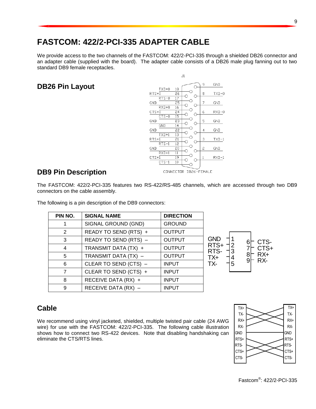## <span id="page-12-3"></span><span id="page-12-0"></span>**FASTCOM: 422/2-PCI-335 ADAPTER CABLE**

We provide access to the two channels of the FASTCOM: 422/2-PCI-335 through a shielded DB26 connector and an adapter cable (supplied with the board). The adapter cable consists of a DB26 male plug fanning out to two standard DB9 female receptacles.

## <span id="page-12-1"></span>**DB26 Pin Layout**



## <span id="page-12-2"></span>**DB9 Pin Description**

The FASTCOM: 422/2-PCI-335 features two RS-422/RS-485 channels, which are accessed through two DB9 connectors on the cable assembly.

**PIN NO.** SIGNAL NAME DIRECTION TX+ TX-RTS-GND 1 | SIGNAL GROUND (GND) | GROUND 2 READY TO SEND (RTS) + OUTPUT 3 READY TO SEND (RTS) – OUTPUT 4 TRANSMIT DATA (TX) + OUTPUT 5 | TRANSMIT DATA (TX) – | OUTPUT  $6$  CLEAR TO SEND (CTS) – INPUT  $7$  CLEAR TO SEND (CTS) + | INPUT 8 RECEIVE DATA (RX) + INPUT  $9$  RECEIVE DATA (RX) – INPUT

The following is a pin description of the DB9 connectors:



## **Cable**

We recommend using vinyl jacketed, shielded, multiple twisted pair cable (24 AWG wire) for use with the FASTCOM: 422/2-PCI-335. The following cable illustration shows how to connect two RS-422 devices. Note that disabling handshaking can eliminate the CTS/RTS lines.



Fastcom® : 422/2-PCI-335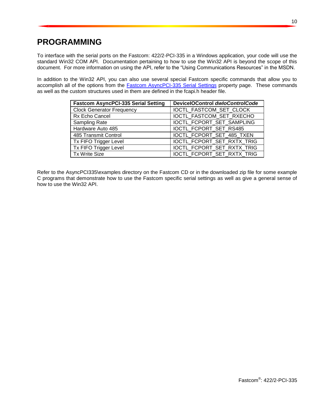## <span id="page-13-0"></span>**PROGRAMMING**

To interface with the serial ports on the Fastcom: 422/2-PCI-335 in a Windows application, your code will use the standard Win32 COM API. Documentation pertaining to how to use the Win32 API is beyond the scope of this document. For more information on using the API, refer to the "Using Communications Resources" in the MSDN.

In addition to the Win32 API, you can also use several special Fastcom specific commands that allow you to accomplish all of the options from the **Fastcom AsyncPCI-335 Serial Settings** property page. These commands as well as the custom structures used in them are defined in the fcapi.h header file.

| <b>Fastcom AsyncPCI-335 Serial Setting</b> | DeviceIOControl dwloControlCode |
|--------------------------------------------|---------------------------------|
| <b>Clock Generator Frequency</b>           | IOCTL_FASTCOM_SET_CLOCK         |
| Rx Echo Cancel                             | IOCTL_FASTCOM_SET_RXECHO        |
| Sampling Rate                              | IOCTL_FCPORT_SET_SAMPLING       |
| Hardware Auto 485                          | IOCTL_FCPORT_SET_RS485          |
| 485 Transmit Control                       | IOCTL_FCPORT_SET_485_TXEN       |
| Tx FIFO Trigger Level                      | IOCTL FCPORT SET RXTX TRIG      |
| Tx FIFO Trigger Level                      | IOCTL_FCPORT_SET_RXTX_TRIG      |
| <b>Tx Write Size</b>                       | IOCTL_FCPORT_SET_RXTX_TRIG      |

Refer to the AsyncPCI335\examples directory on the Fastcom CD or in the downloaded zip file for some example C programs that demonstrate how to use the Fastcom specific serial settings as well as give a general sense of how to use the Win32 API.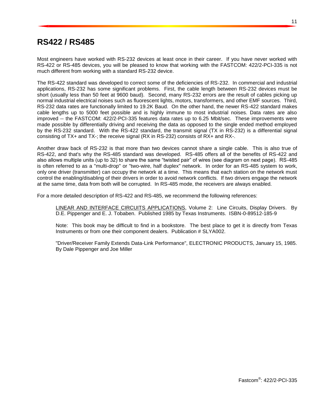## <span id="page-14-0"></span>**RS422 / RS485**

Most engineers have worked with RS-232 devices at least once in their career. If you have never worked with RS-422 or RS-485 devices, you will be pleased to know that working with the FASTCOM: 422/2-PCI-335 is not much different from working with a standard RS-232 device.

The RS-422 standard was developed to correct some of the deficiencies of RS-232. In commercial and industrial applications, RS-232 has some significant problems. First, the cable length between RS-232 devices must be short (usually less than 50 feet at 9600 baud). Second, many RS-232 errors are the result of cables picking up normal industrial electrical noises such as fluorescent lights, motors, transformers, and other EMF sources. Third, RS-232 data rates are functionally limited to 19.2K Baud. On the other hand, the newer RS-422 standard makes cable lengths up to 5000 feet possible and is highly immune to most industrial noises. Data rates are also improved -- the FASTCOM: 422/2-PCI-335 features data rates up to 6.25 Mbit/sec. These improvements were made possible by differentially driving and receiving the data as opposed to the single ended method employed by the RS-232 standard. With the RS-422 standard, the transmit signal (TX in RS-232) is a differential signal consisting of TX+ and TX-; the receive signal (RX in RS-232) consists of RX+ and RX-.

Another draw back of RS-232 is that more than two devices cannot share a single cable. This is also true of RS-422, and that's why the RS-485 standard was developed. RS-485 offers all of the benefits of RS-422 and also allows multiple units (up to 32) to share the same "twisted pair" of wires (see diagram on next page). RS-485 is often referred to as a "multi-drop" or "two-wire, half duplex" network. In order for an RS-485 system to work, only one driver (transmitter) can occupy the network at a time. This means that each station on the network must control the enabling/disabling of their drivers in order to avoid network conflicts. If two drivers engage the network at the same time, data from both will be corrupted. In RS-485 mode, the receivers are always enabled.

For a more detailed description of RS-422 and RS-485, we recommend the following references:

LINEAR AND INTERFACE CIRCUITS APPLICATIONS, Volume 2: Line Circuits, Display Drivers. By D.E. Pippenger and E. J. Tobaben. Published 1985 by Texas Instruments. ISBN-0-89512-185-9

Note: This book may be difficult to find in a bookstore. The best place to get it is directly from Texas Instruments or from one their component dealers. Publication # SLYA002.

"Driver/Receiver Family Extends Data-Link Performance", ELECTRONIC PRODUCTS, January 15, 1985. By Dale Pippenger and Joe Miller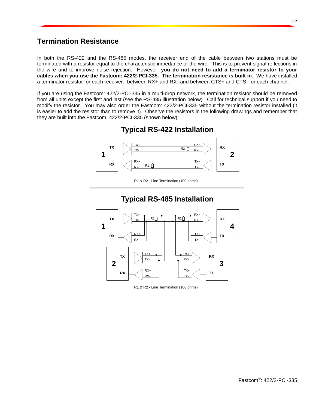### <span id="page-15-0"></span>**Termination Resistance**

In both the RS-422 and the RS-485 modes, the receiver end of the cable between two stations must be terminated with a resistor equal to the characteristic impedance of the wire. This is to prevent signal reflections in the wire and to improve noise rejection. However, **you do not need to add a terminator resistor to your cables when you use the Fastcom: 422/2-PCI-335. The termination resistance is built in.** We have installed a terminator resistor for each receiver: between RX+ and RX- and between CTS+ and CTS- for each channel.

If you are using the Fastcom: 422/2-PCI-335 in a multi-drop network, the termination resistor should be removed from all units except the first and last (see the RS-485 illustration below). Call for technical support if you need to modify the resistor. You may also order the Fastcom: 422/2-PCI-335 without the termination resistor installed (it is easier to add the resistor than to remove it). Observe the resistors in the following drawings and remember that they are built into the Fastcom: 422/2-PCI-335 (shown below):



**Typical RS-422 Installation**

R1 & R2 - Line Termination (100 ohms)



### **Typical RS-485 Installation**

R1 & R2 - Line Termination (100 ohms)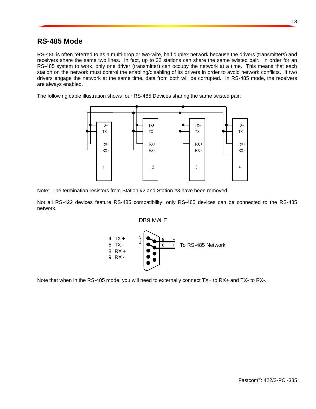#### <span id="page-16-0"></span>**RS-485 Mode**

RS-485 is often referred to as a multi-drop or two-wire, half duplex network because the drivers (transmitters) and receivers share the same two lines. In fact, up to 32 stations can share the same twisted pair. In order for an RS-485 system to work, only one driver (transmitter) can occupy the network at a time. This means that each station on the network must control the enabling/disabling of its drivers in order to avoid network conflicts. If two drivers engage the network at the same time, data from both will be corrupted. In RS-485 mode, the receivers are always enabled.

The following cable illustration shows four RS-485 Devices sharing the same twisted pair:



Note: The termination resistors from Station #2 and Station #3 have been removed.

Not all RS-422 devices feature RS-485 compatibility; only RS-485 devices can be connected to the RS-485 network.





Note that when in the RS-485 mode, you will need to externally connect TX+ to RX+ and TX- to RX-.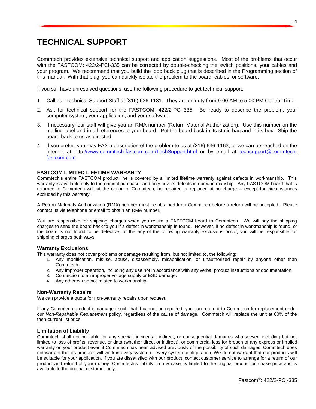## <span id="page-17-0"></span>**TECHNICAL SUPPORT**

Commtech provides extensive technical support and application suggestions. Most of the problems that occur with the FASTCOM: 422/2-PCI-335 can be corrected by double-checking the switch positions, your cables and your program. We recommend that you build the loop back plug that is described in the Programming section of this manual. With that plug, you can quickly isolate the problem to the board, cables, or software.

If you still have unresolved questions, use the following procedure to get technical support:

- 1. Call our Technical Support Staff at (316) 636-1131. They are on duty from 9:00 AM to 5:00 PM Central Time.
- 2. Ask for technical support for the FASTCOM: 422/2-PCI-335. Be ready to describe the problem, your computer system, your application, and your software.
- 3. If necessary, our staff will give you an RMA number (Return Material Authorization). Use this number on the mailing label and in all references to your board. Put the board back in its static bag and in its box. Ship the board back to us as directed.
- 4. If you prefer, you may FAX a description of the problem to us at (316) 636-1163, or we can be reached on the Internet at htt[p://www.commtech-fastcom.com/TechSupport.html](http://www.commtech-fastcom.com/TechSupport.html) or by email at [techsupport@commtech](mailto:techsupport@commtech-fastcom.com)[fastcom.com.](mailto:techsupport@commtech-fastcom.com)

#### **FASTCOM LIMITED LIFETIME WARRANTY**

Commtech's entire FASTCOM product line is covered by a limited lifetime warranty against defects in workmanship. This warranty is available only to the original purchaser and only covers defects in our workmanship. Any FASTCOM board that is returned to Commtech will, at the option of Commtech, be repaired or replaced at no charge -- except for circumstances excluded by this warranty.

A Return Materials Authorization (RMA) number must be obtained from Commtech before a return will be accepted. Please contact us via telephone or email to obtain an RMA number.

You are responsible for shipping charges when you return a FASTCOM board to Commtech. We will pay the shipping charges to send the board back to you if a defect in workmanship is found. However, if no defect in workmanship is found, or the board is not found to be defective, or the any of the following warranty exclusions occur, you will be responsible for shipping charges both ways.

#### **Warranty Exclusions**

This warranty does not cover problems or damage resulting from, but not limited to, the following:

- 1. Any modification, misuse, abuse, disassembly, misapplication, or unauthorized repair by anyone other than Commtech.
- 2. Any improper operation, including any use not in accordance with any verbal product instructions or documentation.
- 3. Connection to an improper voltage supply or ESD damage.
- 4. Any other cause not related to workmanship.

#### **Non-Warranty Repairs**

We can provide a quote for non-warranty repairs upon request.

If any Commtech product is damaged such that it cannot be repaired, you can return it to Commtech for replacement under our *Non-Repairable Replacement* policy, regardless of the cause of damage. Commtech will replace the unit at 60% of the then-current list price.

#### **Limitation of Liability**

Commtech shall not be liable for any special, incidental, indirect, or consequential damages whatsoever, including but not limited to loss of profits, revenue, or data (whether direct or indirect), or commercial loss for breach of any express or implied warranty on your product even if Commtech has been advised previously of the possibility of such damages. Commtech does not warrant that its products will work in every system or every system configuration. We do not warrant that our products will be suitable for your application. If you are dissatisfied with our product, contact customer service to arrange for a return of our product and refund of your money. Commtech's liability, in any case, is limited to the original product purchase price and is available to the original customer only.